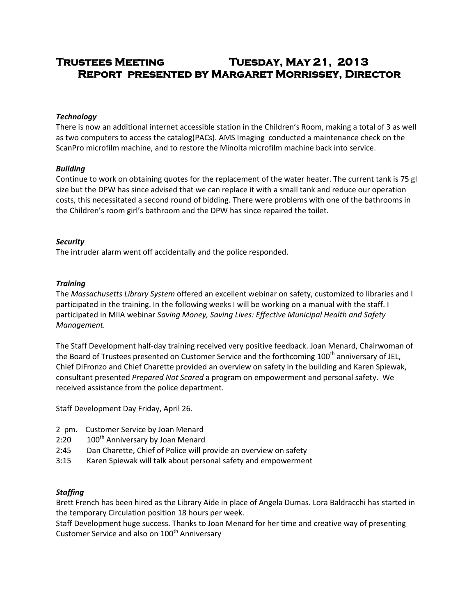# **Trustees Meeting Tuesday, May 21, 2013 Report presented by Margaret Morrissey, Director**

# *Technology*

There is now an additional internet accessible station in the Children's Room, making a total of 3 as well as two computers to access the catalog(PACs). AMS Imaging conducted a maintenance check on the ScanPro microfilm machine, and to restore the Minolta microfilm machine back into service.

# *Building*

Continue to work on obtaining quotes for the replacement of the water heater. The current tank is 75 gl size but the DPW has since advised that we can replace it with a small tank and reduce our operation costs, this necessitated a second round of bidding. There were problems with one of the bathrooms in the Children's room girl's bathroom and the DPW has since repaired the toilet.

# *Security*

The intruder alarm went off accidentally and the police responded.

# *Training*

The *Massachusetts Library System* offered an excellent webinar on safety, customized to libraries and I participated in the training. In the following weeks I will be working on a manual with the staff. I participated in MIIA webinar *Saving Money, Saving Lives: Effective Municipal Health and Safety Management.*

The Staff Development half-day training received very positive feedback. Joan Menard, Chairwoman of the Board of Trustees presented on Customer Service and the forthcoming 100<sup>th</sup> anniversary of JEL, Chief DiFronzo and Chief Charette provided an overview on safety in the building and Karen Spiewak, consultant presented *Prepared Not Scared* a program on empowerment and personal safety. We received assistance from the police department.

Staff Development Day Friday, April 26.

- 2 pm. Customer Service by Joan Menard
- 2:20 100<sup>th</sup> Anniversary by Joan Menard
- 2:45 Dan Charette, Chief of Police will provide an overview on safety
- 3:15 Karen Spiewak will talk about personal safety and empowerment

# *Staffing*

Brett French has been hired as the Library Aide in place of Angela Dumas. Lora Baldracchi has started in the temporary Circulation position 18 hours per week.

Staff Development huge success. Thanks to Joan Menard for her time and creative way of presenting Customer Service and also on 100<sup>th</sup> Anniversary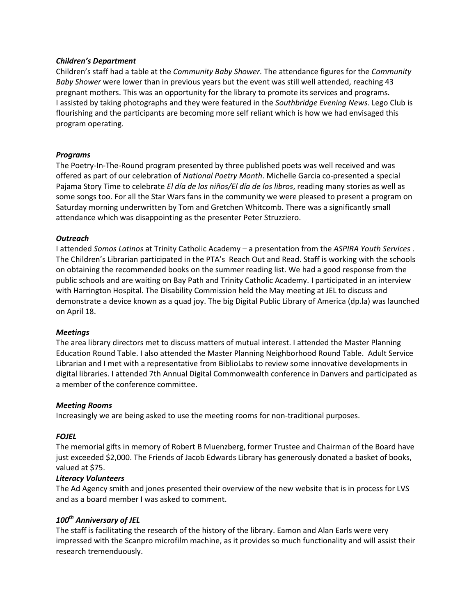## *Children's Department*

Children's staff had a table at the *Community Baby Shower.* The attendance figures for the *Community Baby Shower* were lower than in previous years but the event was still well attended, reaching 43 pregnant mothers. This was an opportunity for the library to promote its services and programs. I assisted by taking photographs and they were featured in the *Southbridge Evening News*. Lego Club is flourishing and the participants are becoming more self reliant which is how we had envisaged this program operating.

## *Programs*

The Poetry-In-The-Round program presented by three published poets was well received and was offered as part of our celebration of *National Poetry Month*. Michelle Garcia co-presented a special Pajama Story Time to celebrate *El día de los niños/El día de los libros*, reading many stories as well as some songs too. For all the Star Wars fans in the community we were pleased to present a program on Saturday morning underwritten by Tom and Gretchen Whitcomb. There was a significantly small attendance which was disappointing as the presenter Peter Struzziero.

## *Outreach*

I attended *Somos Latinos* at Trinity Catholic Academy – a presentation from the *ASPIRA Youth Services* . The Children's Librarian participated in the PTA's Reach Out and Read. Staff is working with the schools on obtaining the recommended books on the summer reading list. We had a good response from the public schools and are waiting on Bay Path and Trinity Catholic Academy. I participated in an interview with Harrington Hospital. The Disability Commission held the May meeting at JEL to discuss and demonstrate a device known as a quad joy. The big Digital Public Library of America (dp.la) was launched on April 18.

## *Meetings*

The area library directors met to discuss matters of mutual interest. I attended the Master Planning Education Round Table. I also attended the Master Planning Neighborhood Round Table. Adult Service Librarian and I met with a representative from BiblioLabs to review some innovative developments in digital libraries. I attended 7th Annual Digital Commonwealth conference in Danvers and participated as a member of the conference committee.

#### *Meeting Rooms*

Increasingly we are being asked to use the meeting rooms for non-traditional purposes.

## *FOJEL*

The memorial gifts in memory of Robert B Muenzberg, former Trustee and Chairman of the Board have just exceeded \$2,000. The Friends of Jacob Edwards Library has generously donated a basket of books, valued at \$75.

## *Literacy Volunteers*

The Ad Agency smith and jones presented their overview of the new website that is in process for LVS and as a board member I was asked to comment.

# *100th Anniversary of JEL*

The staff is facilitating the research of the history of the library. Eamon and Alan Earls were very impressed with the Scanpro microfilm machine, as it provides so much functionality and will assist their research tremenduously.